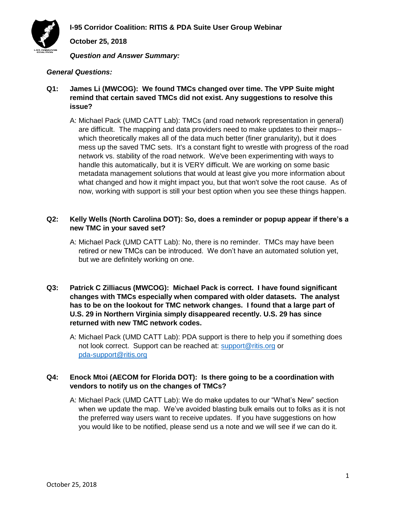

**October 25, 2018**

*Question and Answer Summary:*

### *General Questions:*

- **Q1: James Li (MWCOG): We found TMCs changed over time. The VPP Suite might remind that certain saved TMCs did not exist. Any suggestions to resolve this issue?**
	- A: Michael Pack (UMD CATT Lab): TMCs (and road network representation in general) are difficult. The mapping and data providers need to make updates to their maps- which theoretically makes all of the data much better (finer granularity), but it does mess up the saved TMC sets. It's a constant fight to wrestle with progress of the road network vs. stability of the road network. We've been experimenting with ways to handle this automatically, but it is VERY difficult. We are working on some basic metadata management solutions that would at least give you more information about what changed and how it might impact you, but that won't solve the root cause. As of now, working with support is still your best option when you see these things happen.

### **Q2: Kelly Wells (North Carolina DOT): So, does a reminder or popup appear if there's a new TMC in your saved set?**

- A: Michael Pack (UMD CATT Lab): No, there is no reminder. TMCs may have been retired or new TMCs can be introduced. We don't have an automated solution yet, but we are definitely working on one.
- **Q3: Patrick C Zilliacus (MWCOG): Michael Pack is correct. I have found significant changes with TMCs especially when compared with older datasets. The analyst has to be on the lookout for TMC network changes. I found that a large part of U.S. 29 in Northern Virginia simply disappeared recently. U.S. 29 has since returned with new TMC network codes.**
	- A: Michael Pack (UMD CATT Lab): PDA support is there to help you if something does not look correct. Support can be reached at: [support@ritis.org](mailto:support@ritis.org) or [pda-support@ritis.org](mailto:pda-support@ritis.org)

# **Q4: Enock Mtoi (AECOM for Florida DOT): Is there going to be a coordination with vendors to notify us on the changes of TMCs?**

A: Michael Pack (UMD CATT Lab): We do make updates to our "What's New" section when we update the map. We've avoided blasting bulk emails out to folks as it is not the preferred way users want to receive updates. If you have suggestions on how you would like to be notified, please send us a note and we will see if we can do it.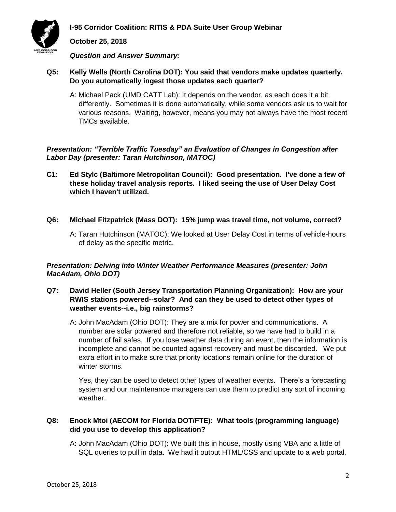



**October 25, 2018**

*Question and Answer Summary:*

- **Q5: Kelly Wells (North Carolina DOT): You said that vendors make updates quarterly. Do you automatically ingest those updates each quarter?**
	- A: Michael Pack (UMD CATT Lab): It depends on the vendor, as each does it a bit differently. Sometimes it is done automatically, while some vendors ask us to wait for various reasons. Waiting, however, means you may not always have the most recent TMCs available.

*Presentation: "Terrible Traffic Tuesday" an Evaluation of Changes in Congestion after Labor Day (presenter: Taran Hutchinson, MATOC)*

- **C1: Ed Stylc (Baltimore Metropolitan Council): Good presentation. I've done a few of these holiday travel analysis reports. I liked seeing the use of User Delay Cost which I haven't utilized.**
- **Q6: Michael Fitzpatrick (Mass DOT): 15% jump was travel time, not volume, correct?** 
	- A: Taran Hutchinson (MATOC): We looked at User Delay Cost in terms of vehicle-hours of delay as the specific metric.

# *Presentation: Delving into Winter Weather Performance Measures (presenter: John MacAdam, Ohio DOT)*

- **Q7: David Heller (South Jersey Transportation Planning Organization): How are your RWIS stations powered--solar? And can they be used to detect other types of weather events--i.e., big rainstorms?**
	- A: John MacAdam (Ohio DOT): They are a mix for power and communications. A number are solar powered and therefore not reliable, so we have had to build in a number of fail safes. If you lose weather data during an event, then the information is incomplete and cannot be counted against recovery and must be discarded. We put extra effort in to make sure that priority locations remain online for the duration of winter storms.

Yes, they can be used to detect other types of weather events. There's a forecasting system and our maintenance managers can use them to predict any sort of incoming weather.

# **Q8: Enock Mtoi (AECOM for Florida DOT/FTE): What tools (programming language) did you use to develop this application?**

A: John MacAdam (Ohio DOT): We built this in house, mostly using VBA and a little of SQL queries to pull in data. We had it output HTML/CSS and update to a web portal.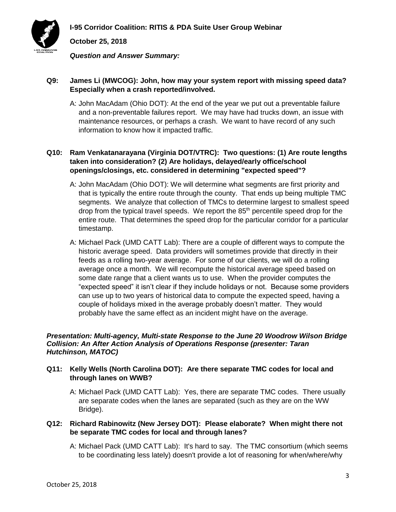

**October 25, 2018**

*Question and Answer Summary:*

### **Q9: James Li (MWCOG): John, how may your system report with missing speed data? Especially when a crash reported/involved.**

A: John MacAdam (Ohio DOT): At the end of the year we put out a preventable failure and a non-preventable failures report. We may have had trucks down, an issue with maintenance resources, or perhaps a crash. We want to have record of any such information to know how it impacted traffic.

# **Q10: Ram Venkatanarayana (Virginia DOT/VTRC): Two questions: (1) Are route lengths taken into consideration? (2) Are holidays, delayed/early office/school openings/closings, etc. considered in determining "expected speed"?**

- A: John MacAdam (Ohio DOT): We will determine what segments are first priority and that is typically the entire route through the county. That ends up being multiple TMC segments. We analyze that collection of TMCs to determine largest to smallest speed drop from the typical travel speeds. We report the  $85<sup>th</sup>$  percentile speed drop for the entire route. That determines the speed drop for the particular corridor for a particular timestamp.
- A: Michael Pack (UMD CATT Lab): There are a couple of different ways to compute the historic average speed. Data providers will sometimes provide that directly in their feeds as a rolling two-year average. For some of our clients, we will do a rolling average once a month. We will recompute the historical average speed based on some date range that a client wants us to use. When the provider computes the "expected speed" it isn't clear if they include holidays or not. Because some providers can use up to two years of historical data to compute the expected speed, having a couple of holidays mixed in the average probably doesn't matter. They would probably have the same effect as an incident might have on the average.

#### *Presentation: Multi-agency, Multi-state Response to the June 20 Woodrow Wilson Bridge Collision: An After Action Analysis of Operations Response (presenter: Taran Hutchinson, MATOC)*

# **Q11: Kelly Wells (North Carolina DOT): Are there separate TMC codes for local and through lanes on WWB?**

A: Michael Pack (UMD CATT Lab): Yes, there are separate TMC codes. There usually are separate codes when the lanes are separated (such as they are on the WW Bridge).

# **Q12: Richard Rabinowitz (New Jersey DOT): Please elaborate? When might there not be separate TMC codes for local and through lanes?**

A: Michael Pack (UMD CATT Lab): It's hard to say. The TMC consortium (which seems to be coordinating less lately) doesn't provide a lot of reasoning for when/where/why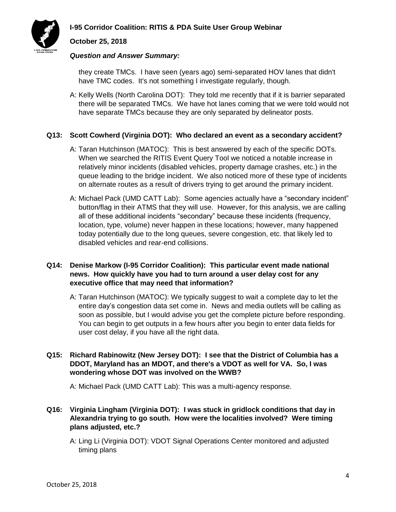

### **October 25, 2018**

#### *Question and Answer Summary:*

they create TMCs. I have seen (years ago) semi-separated HOV lanes that didn't have TMC codes. It's not something I investigate regularly, though.

A: Kelly Wells (North Carolina DOT): They told me recently that if it is barrier separated there will be separated TMCs. We have hot lanes coming that we were told would not have separate TMCs because they are only separated by delineator posts.

### **Q13: Scott Cowherd (Virginia DOT): Who declared an event as a secondary accident?**

- A: Taran Hutchinson (MATOC): This is best answered by each of the specific DOTs. When we searched the RITIS Event Query Tool we noticed a notable increase in relatively minor incidents (disabled vehicles, property damage crashes, etc.) in the queue leading to the bridge incident. We also noticed more of these type of incidents on alternate routes as a result of drivers trying to get around the primary incident.
- A: Michael Pack (UMD CATT Lab): Some agencies actually have a "secondary incident" button/flag in their ATMS that they will use. However, for this analysis, we are calling all of these additional incidents "secondary" because these incidents (frequency, location, type, volume) never happen in these locations; however, many happened today potentially due to the long queues, severe congestion, etc. that likely led to disabled vehicles and rear-end collisions.

### **Q14: Denise Markow (I-95 Corridor Coalition): This particular event made national news. How quickly have you had to turn around a user delay cost for any executive office that may need that information?**

- A: Taran Hutchinson (MATOC): We typically suggest to wait a complete day to let the entire day's congestion data set come in. News and media outlets will be calling as soon as possible, but I would advise you get the complete picture before responding. You can begin to get outputs in a few hours after you begin to enter data fields for user cost delay, if you have all the right data.
- **Q15: Richard Rabinowitz (New Jersey DOT): I see that the District of Columbia has a DDOT, Maryland has an MDOT, and there's a VDOT as well for VA. So, I was wondering whose DOT was involved on the WWB?**

A: Michael Pack (UMD CATT Lab): This was a multi-agency response.

# **Q16: Virginia Lingham (Virginia DOT): I was stuck in gridlock conditions that day in Alexandria trying to go south. How were the localities involved? Were timing plans adjusted, etc.?**

A: Ling Li (Virginia DOT): VDOT Signal Operations Center monitored and adjusted timing plans